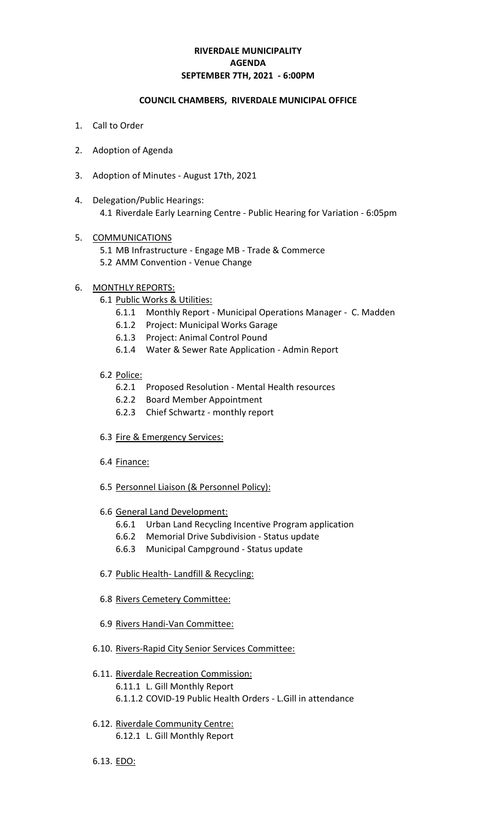## **RIVERDALE MUNICIPALITY SEPTEMBER 7TH, 2021 - 6:00PM AGENDA**

### **COUNCIL CHAMBERS, RIVERDALE MUNICIPAL OFFICE**

- 1. Call to Order
- 2. Adoption of Agenda
- 3. Adoption of Minutes August 17th, 2021
- 4. Delegation/Public Hearings: 4.1 Riverdale Early Learning Centre - Public Hearing for Variation - 6:05pm

### 5. COMMUNICATIONS

5.1 MB Infrastructure - Engage MB - Trade & Commerce 5.2 AMM Convention - Venue Change

### 6. MONTHLY REPORTS:

- 6.1 Public Works & Utilities:
	- 6.1.1 Monthly Report Municipal Operations Manager C. Madden
	- 6.1.2 Project: Municipal Works Garage
	- 6.1.3 Project: Animal Control Pound
	- 6.1.4 Water & Sewer Rate Application Admin Report

### 6.2 Police:

- 6.2.1 Proposed Resolution Mental Health resources
- 6.2.2 Board Member Appointment
- 6.2.3 Chief Schwartz monthly report
- 6.3 Fire & Emergency Services:
- 6.4 Finance:
- 6.5 Personnel Liaison (& Personnel Policy):
- 6.6 General Land Development:
	- 6.6.1 Urban Land Recycling Incentive Program application
	- 6.6.2 Memorial Drive Subdivision Status update
	- 6.6.3 Municipal Campground Status update
- 6.7 Public Health- Landfill & Recycling:
- 6.8 Rivers Cemetery Committee:
- 6.9 Rivers Handi-Van Committee:
- 6.10. Rivers-Rapid City Senior Services Committee:
- 6.11. Riverdale Recreation Commission: 6.11.1 L. Gill Monthly Report 6.1.1.2 COVID-19 Public Health Orders - L.Gill in attendance
- 6.12. Riverdale Community Centre: 6.12.1 L. Gill Monthly Report
- 6.13. EDO: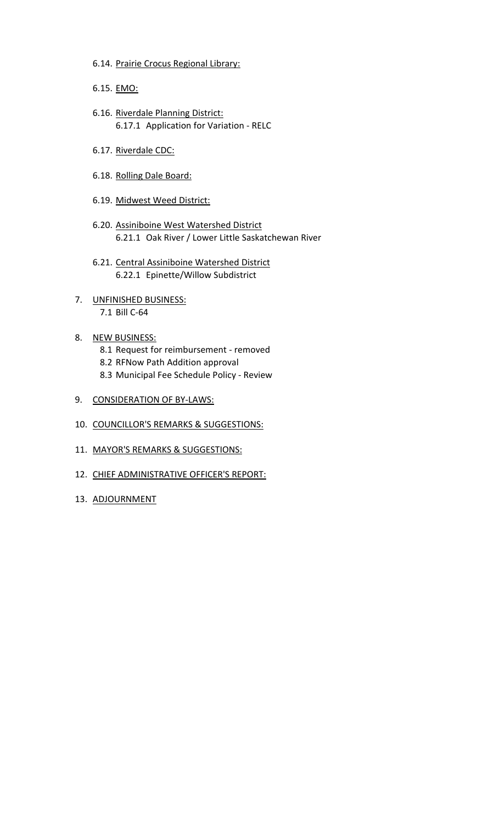- 6.14. Prairie Crocus Regional Library:
- 6.15. EMO:
- 6.16. Riverdale Planning District: 6.17.1 Application for Variation - RELC
- 6.17. Riverdale CDC:
- 6.18. Rolling Dale Board:
- 6.19. Midwest Weed District:
- 6.20. Assiniboine West Watershed District 6.21.1 Oak River / Lower Little Saskatchewan River
- 6.21. Central Assiniboine Watershed District 6.22.1 Epinette/Willow Subdistrict
- 7. UNFINISHED BUSINESS: 7.1 Bill C-64
- 8. NEW BUSINESS: 8.1 Request for reimbursement - removed 8.2 RFNow Path Addition approval 8.3 Municipal Fee Schedule Policy - Review
- 9. CONSIDERATION OF BY-LAWS:
- 10. COUNCILLOR'S REMARKS & SUGGESTIONS:
- 11. MAYOR'S REMARKS & SUGGESTIONS:
- 12. CHIEF ADMINISTRATIVE OFFICER'S REPORT:
- 13. ADJOURNMENT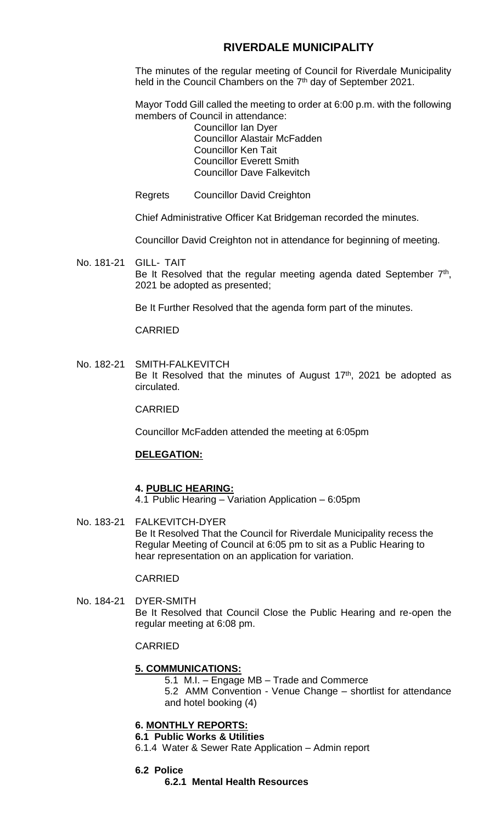## **RIVERDALE MUNICIPALITY**

The minutes of the regular meeting of Council for Riverdale Municipality held in the Council Chambers on the 7<sup>th</sup> day of September 2021.

Mayor Todd Gill called the meeting to order at 6:00 p.m. with the following members of Council in attendance:

Councillor Ian Dyer Councillor Alastair McFadden Councillor Ken Tait Councillor Everett Smith Councillor Dave Falkevitch

Regrets Councillor David Creighton

Chief Administrative Officer Kat Bridgeman recorded the minutes.

Councillor David Creighton not in attendance for beginning of meeting.

No. 181-21 GILL- TAIT Be It Resolved that the regular meeting agenda dated September  $7<sup>th</sup>$ , 2021 be adopted as presented;

Be It Further Resolved that the agenda form part of the minutes.

### CARRIED

No. 182-21 SMITH-FALKEVITCH Be It Resolved that the minutes of August  $17<sup>th</sup>$ , 2021 be adopted as circulated.

CARRIED

Councillor McFadden attended the meeting at 6:05pm

## **DELEGATION:**

### **4. PUBLIC HEARING:**

4.1 Public Hearing – Variation Application – 6:05pm

No. 183-21 FALKEVITCH-DYER Be It Resolved That the Council for Riverdale Municipality recess the Regular Meeting of Council at 6:05 pm to sit as a Public Hearing to hear representation on an application for variation.

## CARRIED

No. 184-21 DYER-SMITH Be It Resolved that Council Close the Public Hearing and re-open the regular meeting at 6:08 pm.

### CARRIED

### **5. COMMUNICATIONS:**

5.1 M.I. – Engage MB – Trade and Commerce 5.2 AMM Convention - Venue Change – shortlist for attendance

and hotel booking (4)

### **6. MONTHLY REPORTS:**

### **6.1 Public Works & Utilities**

- 6.1.4 Water & Sewer Rate Application Admin report
- **6.2 Police**
	- **6.2.1 Mental Health Resources**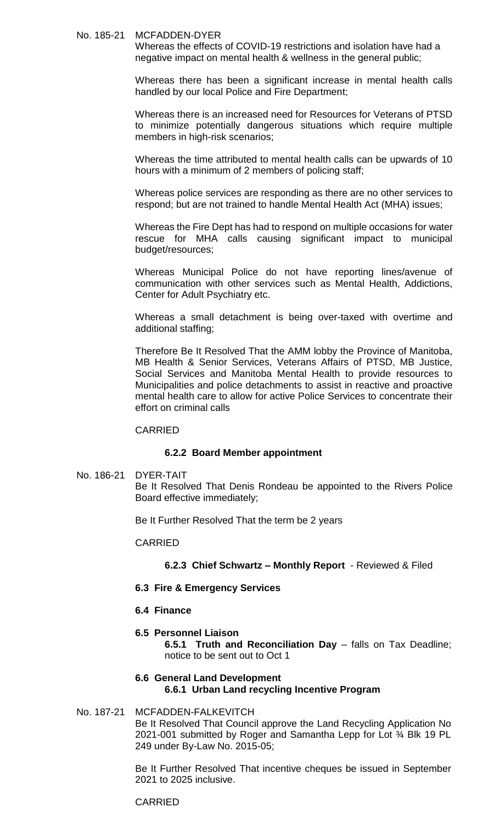### No. 185-21 MCFADDEN-DYER

Whereas the effects of COVID-19 restrictions and isolation have had a negative impact on mental health & wellness in the general public;

Whereas there has been a significant increase in mental health calls handled by our local Police and Fire Department;

Whereas there is an increased need for Resources for Veterans of PTSD to minimize potentially dangerous situations which require multiple members in high-risk scenarios;

Whereas the time attributed to mental health calls can be upwards of 10 hours with a minimum of 2 members of policing staff;

Whereas police services are responding as there are no other services to respond; but are not trained to handle Mental Health Act (MHA) issues;

Whereas the Fire Dept has had to respond on multiple occasions for water rescue for MHA calls causing significant impact to municipal budget/resources;

Whereas Municipal Police do not have reporting lines/avenue of communication with other services such as Mental Health, Addictions, Center for Adult Psychiatry etc.

Whereas a small detachment is being over-taxed with overtime and additional staffing;

Therefore Be It Resolved That the AMM lobby the Province of Manitoba, MB Health & Senior Services, Veterans Affairs of PTSD, MB Justice, Social Services and Manitoba Mental Health to provide resources to Municipalities and police detachments to assist in reactive and proactive mental health care to allow for active Police Services to concentrate their effort on criminal calls

### CARRIED

### **6.2.2 Board Member appointment**

No. 186-21 DYER-TAIT

Be It Resolved That Denis Rondeau be appointed to the Rivers Police Board effective immediately;

Be It Further Resolved That the term be 2 years

### CARRIED

**6.2.3 Chief Schwartz – Monthly Report** - Reviewed & Filed

- **6.3 Fire & Emergency Services**
- **6.4 Finance**
- **6.5 Personnel Liaison**

**6.5.1 Truth and Reconciliation Day** – falls on Tax Deadline; notice to be sent out to Oct 1

## **6.6 General Land Development 6.6.1 Urban Land recycling Incentive Program**

### No. 187-21 MCFADDEN-FALKEVITCH Be It Resolved That Council approve the Land Recycling Application No 2021-001 submitted by Roger and Samantha Lepp for Lot ¾ Blk 19 PL 249 under By-Law No. 2015-05;

Be It Further Resolved That incentive cheques be issued in September 2021 to 2025 inclusive.

### CARRIED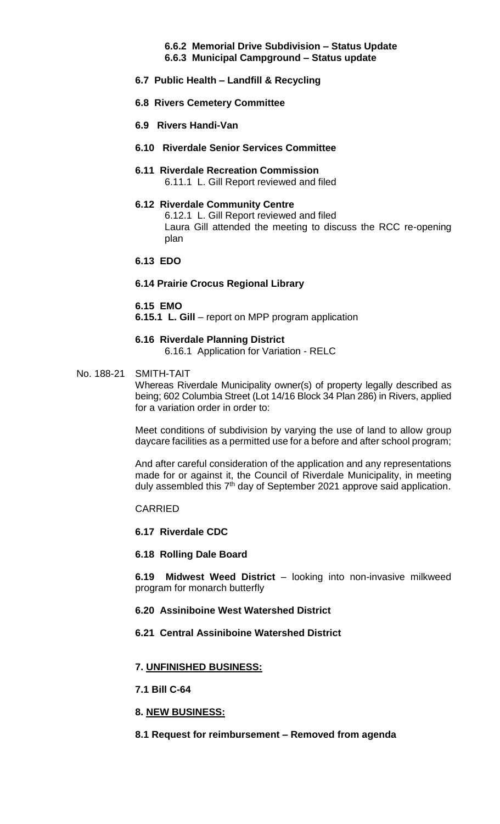# **6.6.2 Memorial Drive Subdivision – Status Update**

- **6.6.3 Municipal Campground – Status update**
- **6.7 Public Health – Landfill & Recycling**
- **6.8 Rivers Cemetery Committee**
- **6.9 Rivers Handi-Van**
- **6.10 Riverdale Senior Services Committee**
- **6.11 Riverdale Recreation Commission** 6.11.1 L. Gill Report reviewed and filed
- **6.12 Riverdale Community Centre** 6.12.1 L. Gill Report reviewed and filed Laura Gill attended the meeting to discuss the RCC re-opening plan
- **6.13 EDO**

## **6.14 Prairie Crocus Regional Library**

## **6.15 EMO**

**6.15.1 L. Gill** – report on MPP program application

## **6.16 Riverdale Planning District**

6.16.1 Application for Variation - RELC

## No. 188-21 SMITH-TAIT

Whereas Riverdale Municipality owner(s) of property legally described as being; 602 Columbia Street (Lot 14/16 Block 34 Plan 286) in Rivers, applied for a variation order in order to:

Meet conditions of subdivision by varying the use of land to allow group daycare facilities as a permitted use for a before and after school program;

And after careful consideration of the application and any representations made for or against it, the Council of Riverdale Municipality, in meeting duly assembled this 7<sup>th</sup> day of September 2021 approve said application.

CARRIED

## **6.17 Riverdale CDC**

## **6.18 Rolling Dale Board**

**6.19 Midwest Weed District** – looking into non-invasive milkweed program for monarch butterfly

## **6.20 Assiniboine West Watershed District**

## **6.21 Central Assiniboine Watershed District**

## **7. UNFINISHED BUSINESS:**

- **7.1 Bill C-64**
- **8. NEW BUSINESS:**

## **8.1 Request for reimbursement – Removed from agenda**